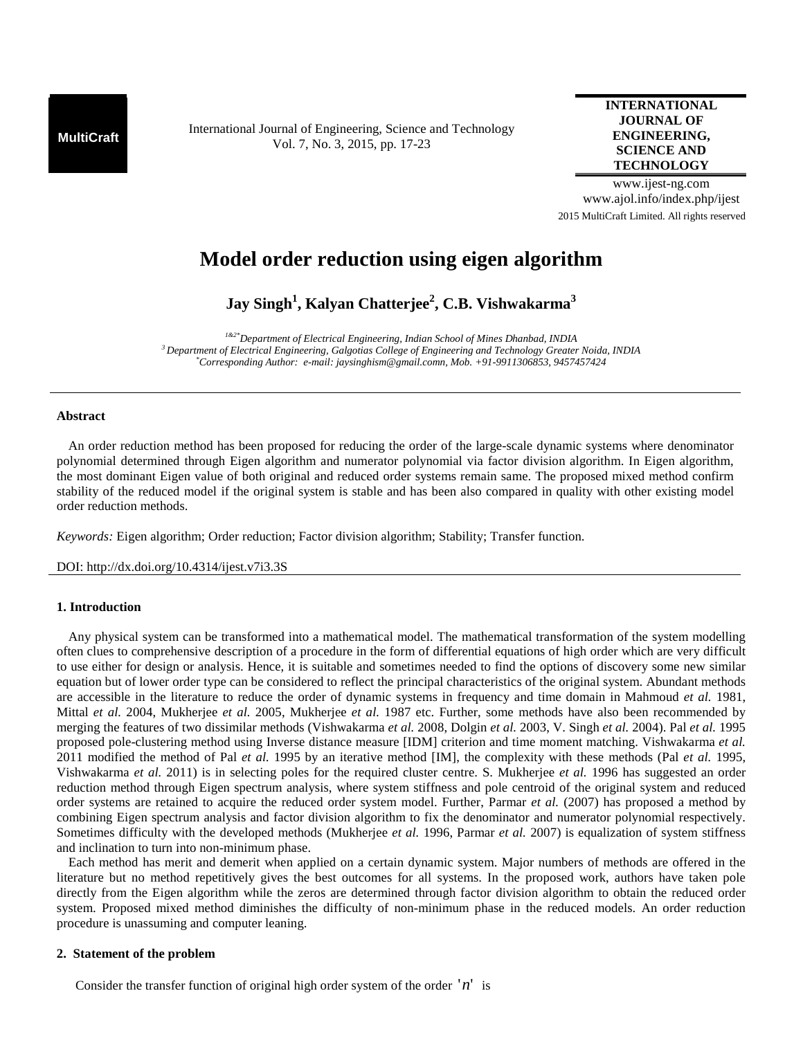**MultiCraft** International Journal of Engineering, Science and Technology Vol. 7, No. 3, 2015, pp. 17-23

## **INTERNATIONAL JOURNAL OF ENGINEERING, SCIENCE AND TECHNOLOGY**

www.ijest-ng.com www.ajol.info/index.php/ijest 2015 MultiCraft Limited. All rights reserved

# **Model order reduction using eigen algorithm**

**Jay Singh<sup>1</sup> , Kalyan Chatterjee<sup>2</sup> , C.B. Vishwakarma<sup>3</sup>**

*1&2\*Department of Electrical Engineering, Indian School of Mines Dhanbad, INDIA <sup>3</sup>Department of Electrical Engineering, Galgotias College of Engineering and Technology Greater Noida, INDIA \*Corresponding Author: e-mail: jaysinghism@gmail.comn, Mob. +91-9911306853, 9457457424* 

## **Abstract**

 An order reduction method has been proposed for reducing the order of the large-scale dynamic systems where denominator polynomial determined through Eigen algorithm and numerator polynomial via factor division algorithm. In Eigen algorithm, the most dominant Eigen value of both original and reduced order systems remain same. The proposed mixed method confirm stability of the reduced model if the original system is stable and has been also compared in quality with other existing model order reduction methods.

*Keywords:* Eigen algorithm; Order reduction; Factor division algorithm; Stability; Transfer function.

DOI: http://dx.doi.org/10.4314/ijest.v7i3.3S

#### **1. Introduction**

Any physical system can be transformed into a mathematical model. The mathematical transformation of the system modelling often clues to comprehensive description of a procedure in the form of differential equations of high order which are very difficult to use either for design or analysis. Hence, it is suitable and sometimes needed to find the options of discovery some new similar equation but of lower order type can be considered to reflect the principal characteristics of the original system. Abundant methods are accessible in the literature to reduce the order of dynamic systems in frequency and time domain in Mahmoud *et al.* 1981, Mittal *et al.* 2004, Mukherjee *et al.* 2005, Mukherjee *et al.* 1987 etc. Further, some methods have also been recommended by merging the features of two dissimilar methods (Vishwakarma *et al.* 2008, Dolgin *et al.* 2003, V. Singh *et al.* 2004). Pal *et al.* 1995 proposed pole-clustering method using Inverse distance measure [IDM] criterion and time moment matching. Vishwakarma *et al.* 2011 modified the method of Pal *et al.* 1995 by an iterative method [IM], the complexity with these methods (Pal *et al.* 1995, Vishwakarma *et al.* 2011) is in selecting poles for the required cluster centre. S. Mukherjee *et al.* 1996 has suggested an order reduction method through Eigen spectrum analysis, where system stiffness and pole centroid of the original system and reduced order systems are retained to acquire the reduced order system model. Further, Parmar *et al.* (2007) has proposed a method by combining Eigen spectrum analysis and factor division algorithm to fix the denominator and numerator polynomial respectively. Sometimes difficulty with the developed methods (Mukherjee *et al.* 1996, Parmar *et al.* 2007) is equalization of system stiffness and inclination to turn into non-minimum phase.

Each method has merit and demerit when applied on a certain dynamic system. Major numbers of methods are offered in the literature but no method repetitively gives the best outcomes for all systems. In the proposed work, authors have taken pole directly from the Eigen algorithm while the zeros are determined through factor division algorithm to obtain the reduced order system. Proposed mixed method diminishes the difficulty of non-minimum phase in the reduced models. An order reduction procedure is unassuming and computer leaning.

#### **2. Statement of the problem**

Consider the transfer function of original high order system of the order  $n'$  is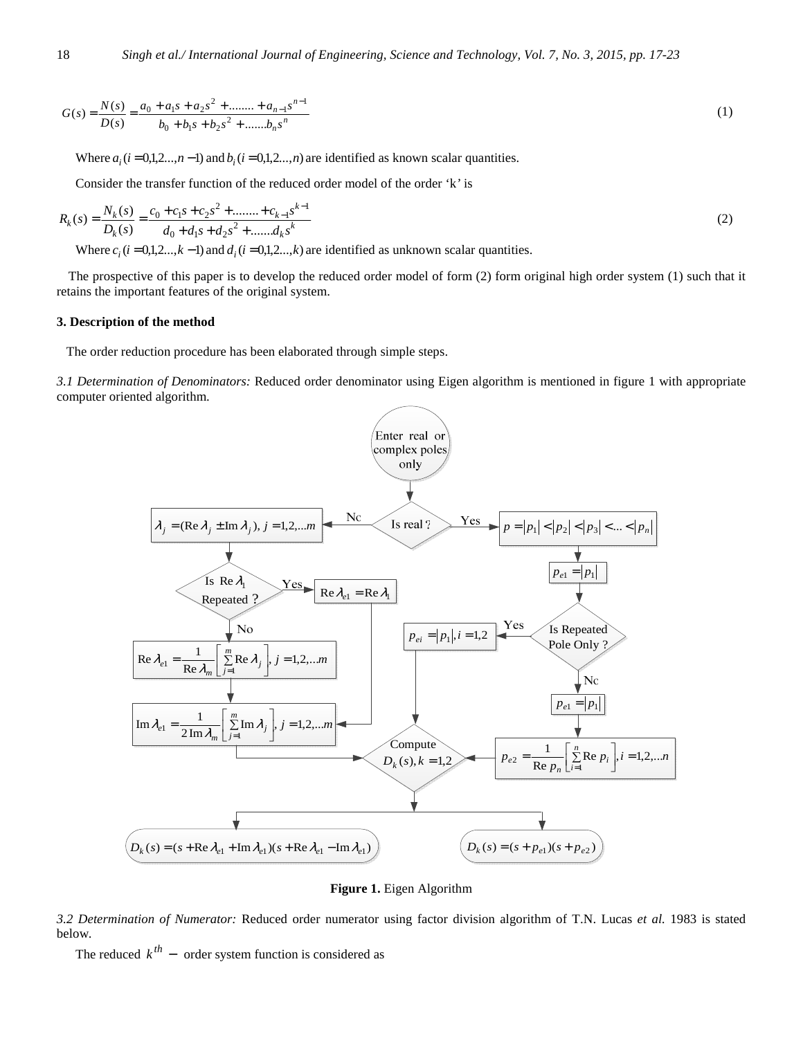$$
G(s) = \frac{N(s)}{D(s)} = \frac{a_0 + a_1s + a_2s^2 + \dots + a_{n-1}s^{n-1}}{b_0 + b_1s + b_2s^2 + \dots + b_ns^n}
$$
 (1)

Where  $a_i$  ( $i = 0,1,2...$ , $n-1$ ) and  $b_i$  ( $i = 0,1,2...$ , $n$ ) are identified as known scalar quantities.

Consider the transfer function of the reduced order model of the order 'k*'* is

$$
R_k(s) = \frac{N_k(s)}{D_k(s)} = \frac{c_0 + c_1s + c_2s^2 + \dots + c_{k-1}s^{k-1}}{d_0 + d_1s + d_2s^2 + \dots + d_ks^k}
$$
(2)

Where  $c_i$  ( $i = 0,1,2...$ , $k-1$ ) and  $d_i$  ( $i = 0,1,2...$ , $k$ ) are identified as unknown scalar quantities.

The prospective of this paper is to develop the reduced order model of form (2) form original high order system (1) such that it retains the important features of the original system.

#### **3. Description of the method**

The order reduction procedure has been elaborated through simple steps.

*3.1 Determination of Denominators:* Reduced order denominator using Eigen algorithm is mentioned in figure 1 with appropriate computer oriented algorithm.



**Figure 1.** Eigen Algorithm

*3.2 Determination of Numerator:* Reduced order numerator using factor division algorithm of T.N. Lucas *et al.* 1983 is stated below.

The reduced  $k^{th}$  – order system function is considered as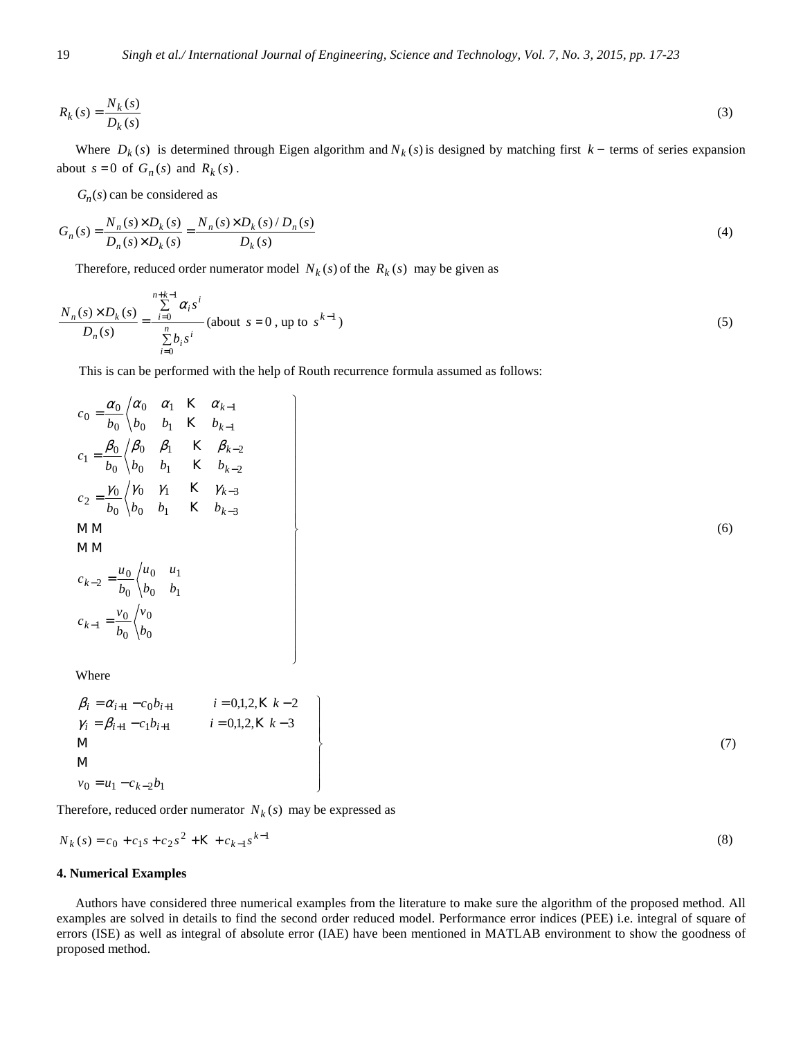$$
R_k(s) = \frac{N_k(s)}{D_k(s)}\tag{3}
$$

Where  $D_k(s)$  is determined through Eigen algorithm and  $N_k(s)$  is designed by matching first  $k-$  terms of series expansion about  $s = 0$  of  $G_n(s)$  and  $R_k(s)$ .

 $G_n(s)$  can be considered as

$$
G_n(s) = \frac{N_n(s) \times D_k(s)}{D_n(s) \times D_k(s)} = \frac{N_n(s) \times D_k(s) / D_n(s)}{D_k(s)}
$$
(4)

Therefore, reduced order numerator model  $N_k(s)$  of the  $R_k(s)$  may be given as

$$
\frac{N_n(s) \times D_k(s)}{D_n(s)} = \frac{\sum_{i=0}^{n+k-1} \alpha_i s^i}{\sum_{i=0}^n b_i s^i} \text{ (about } s = 0 \text{, up to } s^{k-1} \text{)}
$$
\n<sup>(5)</sup>

This is can be performed with the help of Routh recurrence formula assumed as follows:

1

$$
c_0 = \frac{\alpha_0}{b_0} \begin{cases} \alpha_0 & \alpha_1 & K & \alpha_{k-1} \\ b_0 & b_0 & b_1 & K & b_{k-1} \end{cases}
$$
  
\n
$$
c_1 = \frac{\beta_0}{b_0} \begin{cases} \beta_0 & \beta_1 & K & \beta_{k-2} \\ b_0 & b_0 & b_1 & K & b_{k-2} \end{cases}
$$
  
\n
$$
c_2 = \frac{\gamma_0}{b_0} \begin{cases} \gamma_0 & \gamma_1 & K & \gamma_{k-3} \\ b_0 & b_1 & K & b_{k-3} \end{cases}
$$
  
\nMM  
\nMM  
\n
$$
c_{k-2} = \frac{u_0}{b_0} \begin{cases} u_0 & u_1 \\ b_0 & b_1 \end{cases}
$$
  
\n
$$
c_{k-1} = \frac{v_0}{b_0} \begin{cases} v_0 \\ b_0 \end{cases}
$$

Where

$$
\beta_{i} = \alpha_{i+1} - c_{0}b_{i+1} \qquad i = 0,1,2, \text{K } k-2 \n\gamma_{i} = \beta_{i+1} - c_{1}b_{i+1} \qquad i = 0,1,2, \text{K } k-3 \nM \n\nv_{0} = u_{1} - c_{k-2}b_{1}
$$
\n(7)

(6)

Therefore, reduced order numerator  $N_k(s)$  may be expressed as

$$
N_k(s) = c_0 + c_1 s + c_2 s^2 + K + c_{k-1} s^{k-1}
$$
\n(8)

 $\mathbf{I}$  $\frac{1}{2}$  $\overline{a}$  $\frac{1}{2}$  $\frac{1}{2}$  $\frac{1}{2}$  $\overline{a}$  $\frac{1}{2}$  $\frac{1}{2}$  $\frac{1}{2}$ 

 $\mathbf{I}$  $\overline{ }$  $\frac{1}{2}$  $\frac{1}{2}$  $\frac{1}{2}$  $\overline{a}$  $\frac{1}{2}$  $\frac{1}{2}$  $\overline{a}$  $\frac{1}{2}$ 

 $\left\{ \right\}$ 

J

#### **4. Numerical Examples**

Authors have considered three numerical examples from the literature to make sure the algorithm of the proposed method. All examples are solved in details to find the second order reduced model. Performance error indices (PEE) i.e. integral of square of errors (ISE) as well as integral of absolute error (IAE) have been mentioned in MATLAB environment to show the goodness of proposed method.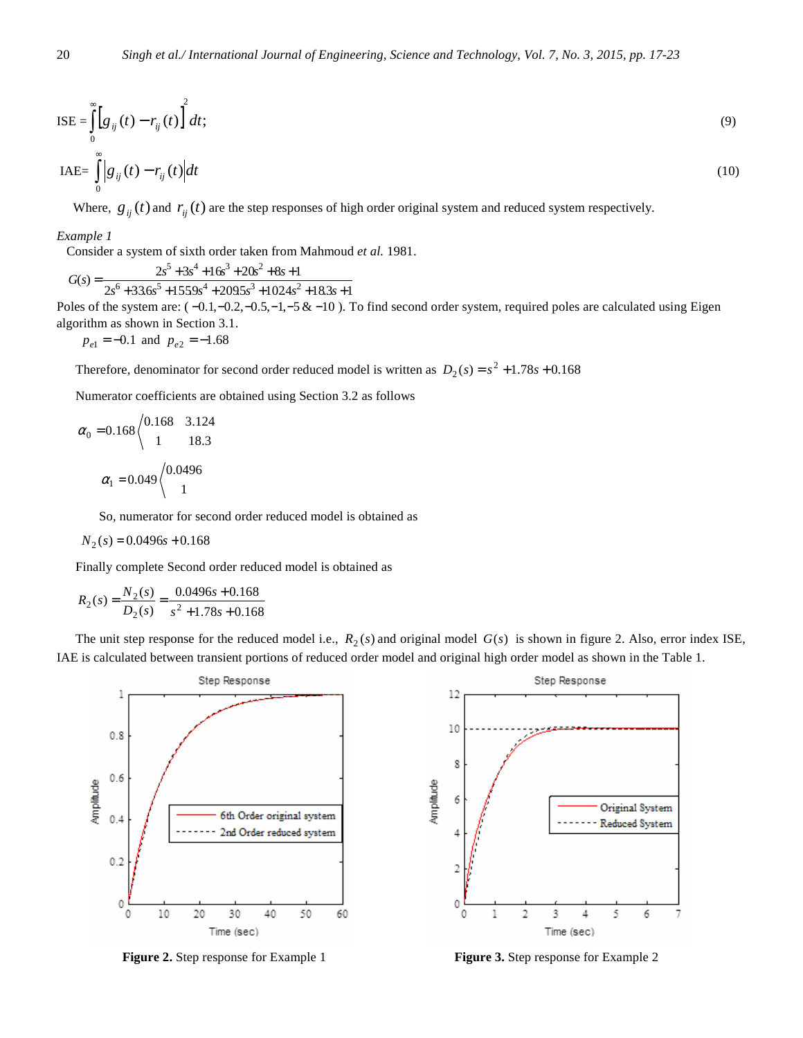$$
ISE = \int_{0}^{\infty} \left[ g_{ij}(t) - r_{ij}(t) \right]^2 dt; \tag{9}
$$

$$
IAE = \int_{0}^{\infty} |g_{ij}(t) - r_{ij}(t)| dt
$$
\n(10)

Where,  $g_{ij}(t)$  and  $r_{ij}(t)$  are the step responses of high order original system and reduced system respectively.

#### *Example 1*

Consider a system of sixth order taken from Mahmoud *et al.* 1981.

$$
s) = \frac{2s^5 + 3s^4 + 16s^3 + 20s^2 + 8s + 1}{s}
$$

 $2s + 33.0s + 153.9s + 209.5s + 1024s + 18.3s + 1$  $2s^6 + 33.6s^5 + 1559s^4 + 209.5s^3 + 1024s^2 + 18.3s + 1$  $G(s)$ 

Poles of the system are:  $(-0.1, -0.2, -0.5, -1, -5 & -10)$ . To find second order system, required poles are calculated using Eigen algorithm as shown in Section 3.1.

$$
p_{e1} = -0.1
$$
 and  $p_{e2} = -1.68$ 

Therefore, denominator for second order reduced model is written as  $D_2(s) = s^2 + 1.78s + 0.168$ 

Numerator coefficients are obtained using Section 3.2 as follows

$$
\alpha_0 = 0.168 \begin{cases} 0.168 & 3.124 \\ 1 & 18.3 \end{cases}
$$

$$
\alpha_1 = 0.049 \begin{cases} 0.0496 \\ 1 \end{cases}
$$

So, numerator for second order reduced model is obtained as

$$
N_2(s) = 0.0496s + 0.168
$$

Finally complete Second order reduced model is obtained as

$$
R_2(s) = \frac{N_2(s)}{D_2(s)} = \frac{0.0496s + 0.168}{s^2 + 1.78s + 0.168}
$$

The unit step response for the reduced model i.e.,  $R_2(s)$  and original model  $G(s)$  is shown in figure 2. Also, error index ISE, IAE is calculated between transient portions of reduced order model and original high order model as shown in the Table 1.



**Figure 2.** Step response for Example 1 **Figure 3.** Step response for Example 2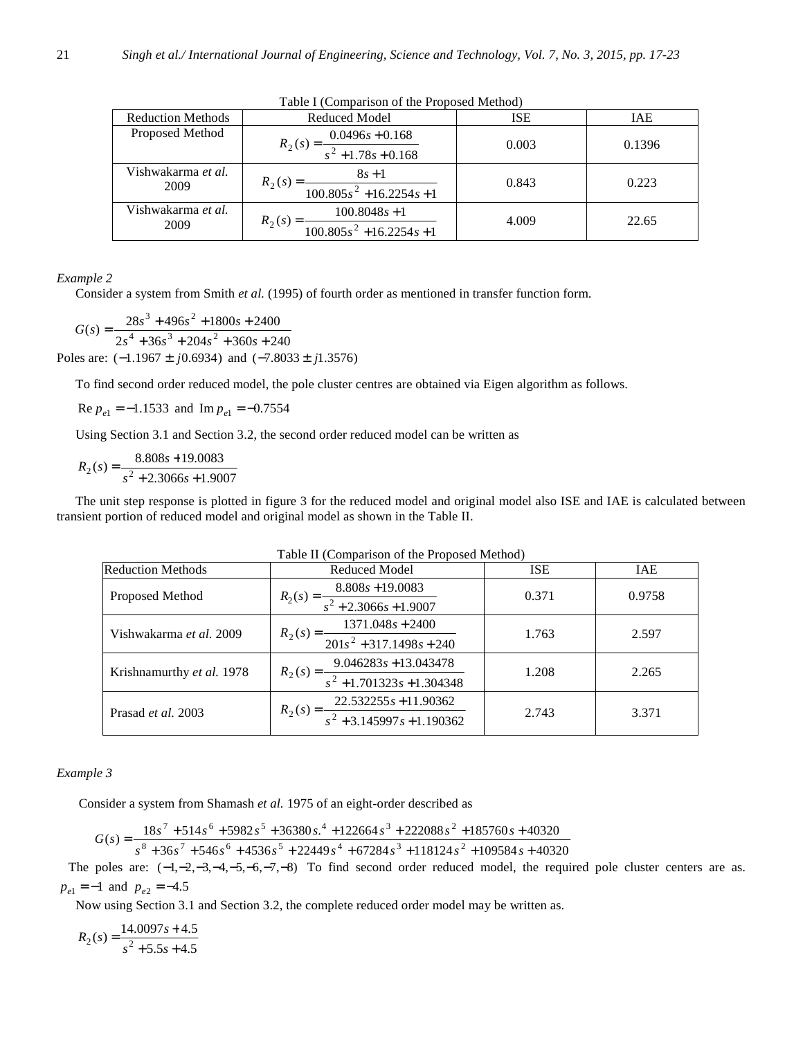| <b>Reduction Methods</b>   | Reduced Model                                                                                  | <b>ISE</b> | IAE    |  |  |
|----------------------------|------------------------------------------------------------------------------------------------|------------|--------|--|--|
| Proposed Method            | $0.0496s + 0.168$<br>$R_2(s) = \frac{1}{s^2 + 1.78s + 0.168}$                                  | 0.003      | 0.1396 |  |  |
| Vishwakarma et al.<br>2009 | $8s + 1$<br>$R_2(s) =$<br>$\frac{100.805s^2 + 16.2254s + 1}{100.805s^2 + 16.2254s + 1}$        | 0.843      | 0.223  |  |  |
| Vishwakarma et al.<br>2009 | $100.8048s + 1$<br>$R_2(s) =$<br>$\frac{100.805s^2 + 16.2254s + 1}{100.805s^2 + 16.2254s + 1}$ | 4.009      | 22.65  |  |  |

Table I (Comparison of the Proposed Method)

## *Example 2*

Consider a system from Smith *et al.* (1995) of fourth order as mentioned in transfer function form.

 $2s^4 + 36s^3 + 204s^2 + 360s + 240$  $(s) = \frac{28s^3 + 496s^2 + 1800s + 2400s}{2s^4 + 36s^3 + 204s^2 + 360s + 24s^2}$  $3 + 406s^2$  $+36s^3 + 204s^2 + 360s +$  $=\frac{28s^3+496s^2+1800s+1800s^2}{2}$  $s^4 + 36s^3 + 204s^2 + 360s$  $G(s) = \frac{28s^3 + 496s^2 + 1800s}{s^2}$ Poles are:  $(-1.1967 \pm j0.6934)$  and  $(-7.8033 \pm j1.3576)$ 

To find second order reduced model, the pole cluster centres are obtained via Eigen algorithm as follows.

 $\text{Re } p_{e1} = -1.1533 \text{ and } \text{Im } p_{e1} = -0.7554$ 

Using Section 3.1 and Section 3.2, the second order reduced model can be written as

$$
R_2(s) = \frac{8.808s + 19.0083}{s^2 + 2.3066s + 1.9007}
$$

The unit step response is plotted in figure 3 for the reduced model and original model also ISE and IAE is calculated between transient portion of reduced model and original model as shown in the Table II.

| Table II (Comparison of the Proposed Method) |                                                                     |            |        |  |  |
|----------------------------------------------|---------------------------------------------------------------------|------------|--------|--|--|
| <b>Reduction Methods</b>                     | <b>Reduced Model</b>                                                | <b>ISE</b> | IAE    |  |  |
| Proposed Method                              | $R_2(s) = \frac{8.808s + 19.0083}{s^2 + 2.3066s + 1.9007}$          | 0.371      | 0.9758 |  |  |
| Vishwakarma <i>et al.</i> 2009               | $R_2(s) = \frac{1371.048s + 2400}{201s^2 + 317.1498s + 240}$        | 1.763      | 2.597  |  |  |
| Krishnamurthy et al. 1978                    | $R_2(s) = \frac{9.046283s + 13.043478}{s^2 + 1.701323s + 1.304348}$ | 1.208      | 2.265  |  |  |
| Prasad et al. 2003                           | $R_2(s) = \frac{22.532255s + 11.90362}{s^2 + 3.145997s + 1.190362}$ | 2.743      | 3.371  |  |  |

## *Example 3*

Consider a system from Shamash *et al.* 1975 of an eight-order described as

$$
G(s) = \frac{18s^7 + 514s^6 + 5982s^5 + 36380s^4 + 122664s^3 + 222088s^2 + 185760s + 40320}{s^8 + 36s^7 + 546s^6 + 4536s^5 + 22449s^4 + 67284s^3 + 118124s^2 + 109584s + 40320}
$$

 $36s' + 546s^6 + 4536s^3 + 22449s^4 + 67284s^3 + 118124s^2 + 109584s + 40320$ 

The poles are:  $(-1, -2, -3, -4, -5, -6, -7, -8)$  To find second order reduced model, the required pole cluster centers are as.  $p_{e1} = -1$  and  $p_{e2} = -4.5$ 

Now using Section 3.1 and Section 3.2, the complete reduced order model may be written as.

$$
R_2(s) = \frac{14.0097s + 4.5}{s^2 + 5.5s + 4.5}
$$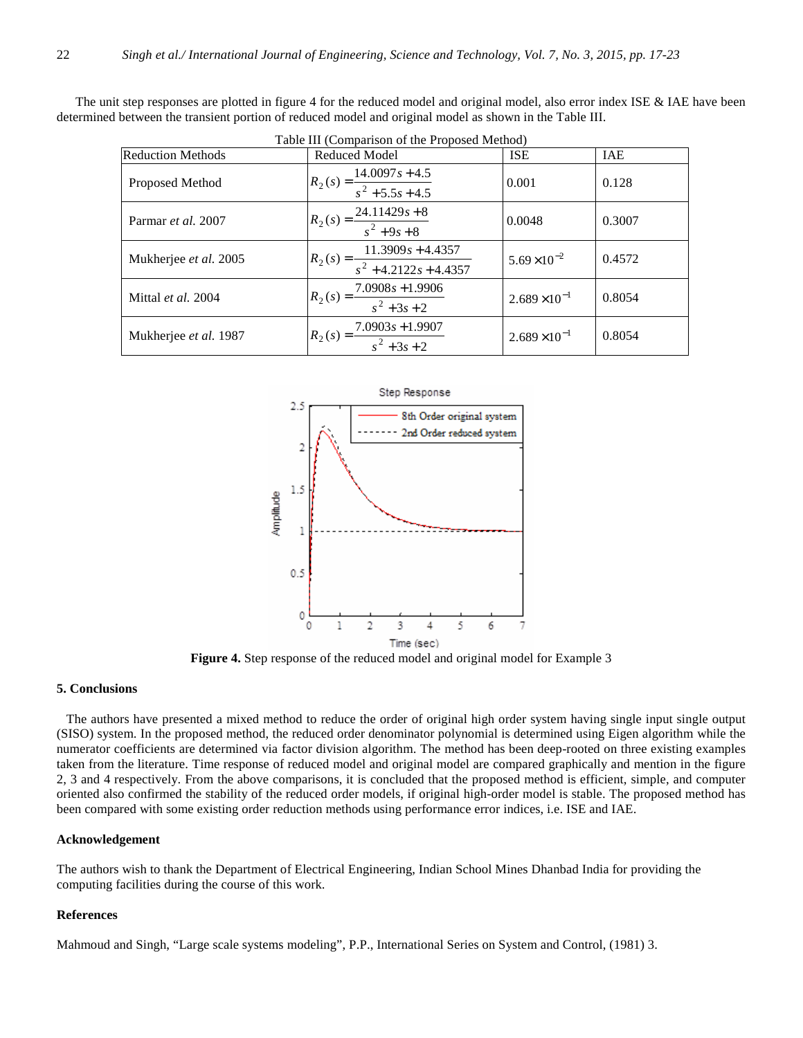The unit step responses are plotted in figure 4 for the reduced model and original model, also error index ISE & IAE have been determined between the transient portion of reduced model and original model as shown in the Table III.

| Table III (Comparison of the Proposed Method) |                                                             |                      |        |  |  |
|-----------------------------------------------|-------------------------------------------------------------|----------------------|--------|--|--|
| <b>Reduction Methods</b>                      | <b>Reduced Model</b>                                        | <b>ISE</b>           | IAE    |  |  |
| Proposed Method                               | $R_2(s) = \frac{14.0097s + 4.5}{s^2 + 5.5s + 4.5}$          | 0.001                | 0.128  |  |  |
| Parmar et al. 2007                            | $R_2(s) = \frac{24.11429s + 8}{s^2 + 9s + 8}$               | 0.0048               | 0.3007 |  |  |
| Mukherjee et al. 2005                         | $R_2(s) = \frac{11.3909s + 4.4357}{s^2 + 4.2122s + 4.4357}$ | $5.69\times10^{-2}$  | 0.4572 |  |  |
| Mittal et al. 2004                            | $R_2(s) = \frac{7.0908s + 1.9906}{s^2 + 3s + 2}$            | $2.689\times10^{-1}$ | 0.8054 |  |  |
| Mukherjee et al. 1987                         | $R_2(s) = \frac{7.0903s + 1.9907}{s^2 + 3s + 2}$            | $2.689\times10^{-1}$ | 0.8054 |  |  |



**Figure 4.** Step response of the reduced model and original model for Example 3

#### **5. Conclusions**

 The authors have presented a mixed method to reduce the order of original high order system having single input single output (SISO) system. In the proposed method, the reduced order denominator polynomial is determined using Eigen algorithm while the numerator coefficients are determined via factor division algorithm. The method has been deep-rooted on three existing examples taken from the literature. Time response of reduced model and original model are compared graphically and mention in the figure 2, 3 and 4 respectively. From the above comparisons, it is concluded that the proposed method is efficient, simple, and computer oriented also confirmed the stability of the reduced order models, if original high-order model is stable. The proposed method has been compared with some existing order reduction methods using performance error indices, i.e. ISE and IAE.

#### **Acknowledgement**

The authors wish to thank the Department of Electrical Engineering, Indian School Mines Dhanbad India for providing the computing facilities during the course of this work.

## **References**

Mahmoud and Singh, "Large scale systems modeling", P.P., International Series on System and Control, (1981) 3.